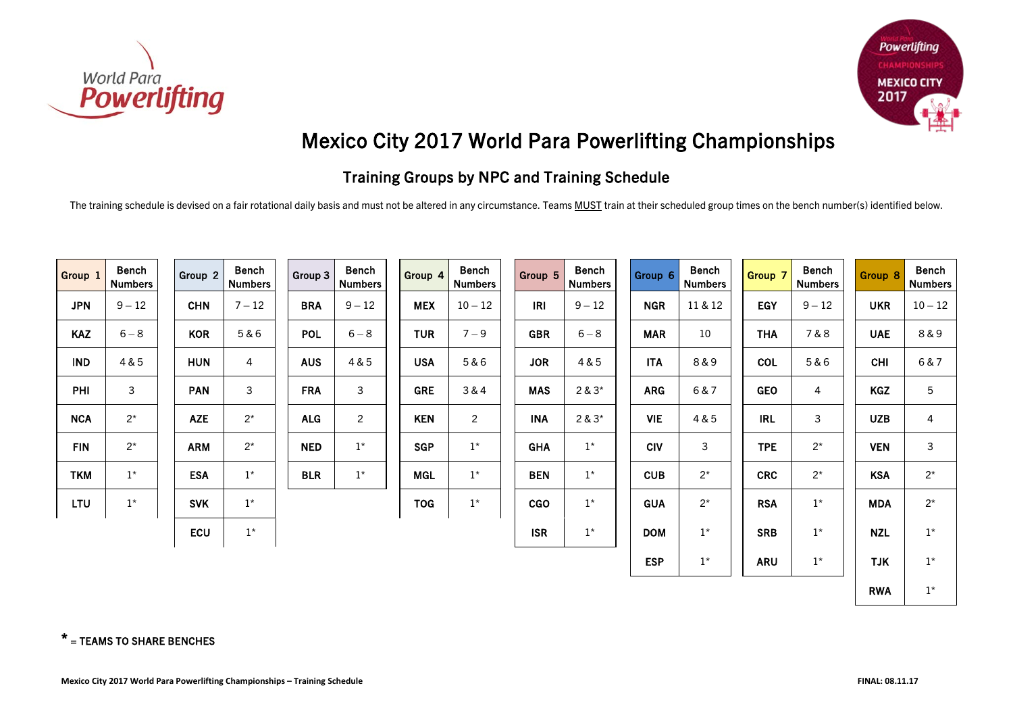



## Mexico City 2017 World Para Powerlifting Championships

## Training Groups by NPC and Training Schedule

The training schedule is devised on a fair rotational daily basis and must not be altered in any circumstance. Teams MUST train at their scheduled group times on the bench number(s) identified below.

| Group 1    | <b>Bench</b><br><b>Numbers</b> | Group 2    | <b>Bench</b><br><b>Numbers</b> | Group 3    | <b>Bench</b><br><b>Numbers</b> | Group 4    | <b>Bench</b><br><b>Numbers</b> | Group 5    | <b>Bench</b><br><b>Numbers</b> | Group 6    | <b>Bench</b><br><b>Numbers</b> | Group 7    | <b>Bench</b><br><b>Numbers</b> | Group 8    | <b>Bench</b><br><b>Numbers</b> |
|------------|--------------------------------|------------|--------------------------------|------------|--------------------------------|------------|--------------------------------|------------|--------------------------------|------------|--------------------------------|------------|--------------------------------|------------|--------------------------------|
| <b>JPN</b> | $9 - 12$                       | <b>CHN</b> | $7 - 12$                       | <b>BRA</b> | $9 - 12$                       | <b>MEX</b> | $10 - 12$                      | <b>IRI</b> | $9 - 12$                       | <b>NGR</b> | 11 & 12                        | <b>EGY</b> | $9 - 12$                       | <b>UKR</b> | $10 - 12$                      |
| <b>KAZ</b> | $6 - 8$                        | <b>KOR</b> | 5&6                            | <b>POL</b> | $6 - 8$                        | <b>TUR</b> | $7 - 9$                        | <b>GBR</b> | $6 - 8$                        | <b>MAR</b> | 10                             | <b>THA</b> | 7&8                            | <b>UAE</b> | 8&9                            |
| <b>IND</b> | 4 & 5                          | <b>HUN</b> | 4                              | <b>AUS</b> | 4 & 5                          | <b>USA</b> | 5&6                            | <b>JOR</b> | 4 & 5                          | <b>ITA</b> | 8&9                            | <b>COL</b> | 5&6                            | <b>CHI</b> | 6&7                            |
| PHI        | 3                              | <b>PAN</b> | 3                              | <b>FRA</b> | $\mathfrak{Z}$                 | <b>GRE</b> | 3&4                            | <b>MAS</b> | $2 & 3*$                       | <b>ARG</b> | 6&7                            | <b>GEO</b> | 4                              | <b>KGZ</b> | 5                              |
| <b>NCA</b> | $2^*$                          | <b>AZE</b> | $2^*$                          | <b>ALG</b> | $\overline{2}$                 | <b>KEN</b> | $\overline{2}$                 | <b>INA</b> | $2 & 3*$                       | <b>VIE</b> | 4 & 5                          | <b>IRL</b> | 3                              | <b>UZB</b> | $\overline{4}$                 |
| <b>FIN</b> | $2^*$                          | <b>ARM</b> | $2^*$                          | <b>NED</b> | $1^{\star}$                    | <b>SGP</b> | $1^*$                          | <b>GHA</b> | $1^{\star}$                    | <b>CIV</b> | 3                              | <b>TPE</b> | $2^*$                          | <b>VEN</b> | 3                              |
| <b>TKM</b> | $1^*$                          | <b>ESA</b> | $1^*$                          | <b>BLR</b> | $1^{\star}$                    | <b>MGL</b> | $1^*$                          | <b>BEN</b> | $1^{\star}$                    | <b>CUB</b> | $2^*$                          | <b>CRC</b> | $2^*$                          | <b>KSA</b> | $2^*$                          |
| <b>LTU</b> | $1^*$                          | <b>SVK</b> | $1^*$                          |            |                                | <b>TOG</b> | $1^*$                          | <b>CGO</b> | $1^*$                          | <b>GUA</b> | $2^*$                          | <b>RSA</b> | $1^*$                          | <b>MDA</b> | $2^*$                          |
|            |                                | <b>ECU</b> | $1^*$                          |            |                                |            |                                | <b>ISR</b> | $1^{\star}$                    | <b>DOM</b> | $1^*$                          | <b>SRB</b> | $1^{\star}$                    | <b>NZL</b> | $1^{\star}$                    |
|            |                                |            |                                |            |                                |            |                                |            |                                | <b>ESP</b> | $1^*$                          | <b>ARU</b> | $1^*$                          | <b>TJK</b> | $1^*$                          |
|            |                                |            |                                |            |                                |            |                                |            |                                |            |                                |            |                                | <b>RWA</b> | $1^*$                          |

## $*$  = TEAMS TO SHARE BENCHES